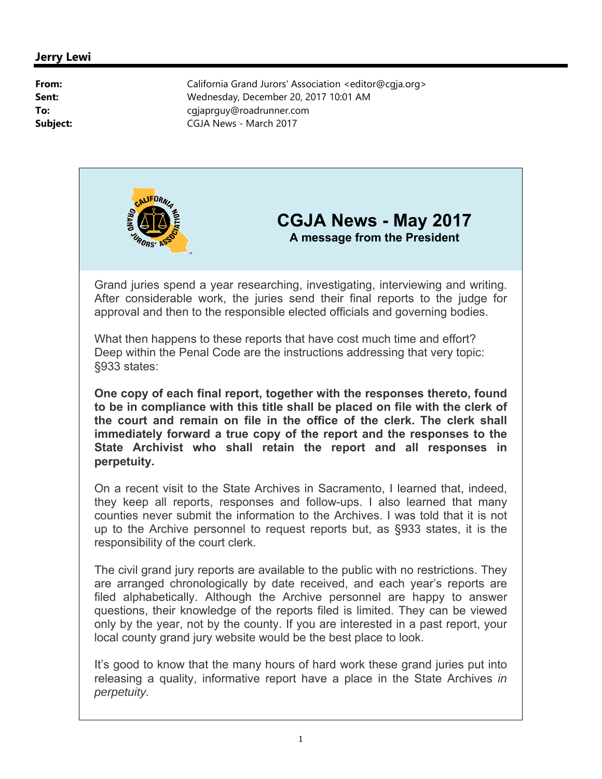

## **CGJA News - May 2017 A message from the President**

Grand juries spend a year researching, investigating, interviewing and writing. After considerable work, the juries send their final reports to the judge for approval and then to the responsible elected officials and governing bodies.

What then happens to these reports that have cost much time and effort? Deep within the Penal Code are the instructions addressing that very topic: §933 states:

**One copy of each final report, together with the responses thereto, found to be in compliance with this title shall be placed on file with the clerk of the court and remain on file in the office of the clerk. The clerk shall immediately forward a true copy of the report and the responses to the State Archivist who shall retain the report and all responses in perpetuity.**

On a recent visit to the State Archives in Sacramento, I learned that, indeed, they keep all reports, responses and follow-ups. I also learned that many counties never submit the information to the Archives. I was told that it is not up to the Archive personnel to request reports but, as §933 states, it is the responsibility of the court clerk.

The civil grand jury reports are available to the public with no restrictions. They are arranged chronologically by date received, and each year's reports are filed alphabetically. Although the Archive personnel are happy to answer questions, their knowledge of the reports filed is limited. They can be viewed only by the year, not by the county. If you are interested in a past report, your local county grand jury website would be the best place to look.

It's good to know that the many hours of hard work these grand juries put into releasing a quality, informative report have a place in the State Archives *in perpetuity.*